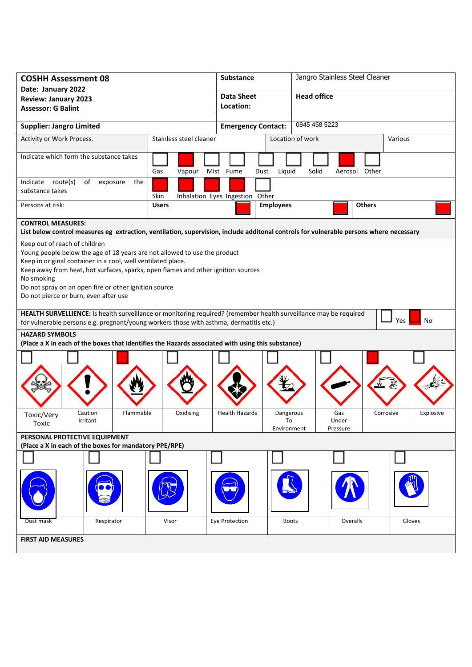| <b>COSHH Assessment 08</b>                                                                                                                                                                                                                                                                                                                                                      | <b>Substance</b> |                                 | Jangro Stainless Steel Cleaner |                          |               |           |  |
|---------------------------------------------------------------------------------------------------------------------------------------------------------------------------------------------------------------------------------------------------------------------------------------------------------------------------------------------------------------------------------|------------------|---------------------------------|--------------------------------|--------------------------|---------------|-----------|--|
| Date: January 2022<br><b>Review: January 2023</b>                                                                                                                                                                                                                                                                                                                               |                  | <b>Data Sheet</b>               |                                | <b>Head office</b>       |               |           |  |
| <b>Assessor: G Balint</b>                                                                                                                                                                                                                                                                                                                                                       |                  | Location:                       |                                |                          |               |           |  |
| <b>Supplier: Jangro Limited</b>                                                                                                                                                                                                                                                                                                                                                 |                  | <b>Emergency Contact:</b>       |                                | 0845 458 5223            |               |           |  |
| Stainless steel cleaner<br>Activity or Work Process.                                                                                                                                                                                                                                                                                                                            |                  |                                 | Location of work               | Various                  |               |           |  |
| Indicate which form the substance takes                                                                                                                                                                                                                                                                                                                                         | Gas<br>Vapour    | Mist Fume<br>Dust               | Liquid                         | Solid                    | Aerosol Other |           |  |
| Indicate route(s)<br>of<br>exposure<br>the<br>substance takes                                                                                                                                                                                                                                                                                                                   | Skin             | Inhalation Eyes Ingestion Other |                                |                          |               |           |  |
| Persons at risk:                                                                                                                                                                                                                                                                                                                                                                | <b>Users</b>     |                                 | <b>Employees</b>               |                          | <b>Others</b> |           |  |
| <b>CONTROL MEASURES:</b><br>List below control measures eg extraction, ventilation, supervision, include additonal controls for vulnerable persons where necessary                                                                                                                                                                                                              |                  |                                 |                                |                          |               |           |  |
| Keep out of reach of children<br>Young people below the age of 18 years are not allowed to use the product<br>Keep in original container in a cool, well ventilated place.<br>Keep away from heat, hot surfaces, sparks, open flames and other ignition sources<br>No smoking<br>Do not spray on an open fire or other ignition source<br>Do not pierce or burn, even after use |                  |                                 |                                |                          |               |           |  |
| HEALTH SURVELLIENCE: Is health surveillance or monitoring required? (remember health surveillance may be required<br>No<br>Yes<br>for vulnerable persons e.g. pregnant/young workers those with asthma, dermatitis etc.)                                                                                                                                                        |                  |                                 |                                |                          |               |           |  |
| <b>HAZARD SYMBOLS</b><br>(Place a X in each of the boxes that identifies the Hazards associated with using this substance)                                                                                                                                                                                                                                                      |                  |                                 |                                |                          |               |           |  |
|                                                                                                                                                                                                                                                                                                                                                                                 |                  |                                 |                                |                          |               |           |  |
| Caution<br>Flammable<br>Toxic/Very<br>Irritant<br>Toxic                                                                                                                                                                                                                                                                                                                         | Oxidising        | <b>Health Hazards</b>           | Dangerous<br>To<br>Environment | Gas<br>Under<br>Pressure | Corrosive     | Explosive |  |
| PERSONAL PROTECTIVE EQUIPMENT<br>(Place a X in each of the boxes for mandatory PPE/RPE)                                                                                                                                                                                                                                                                                         |                  |                                 |                                |                          |               |           |  |
|                                                                                                                                                                                                                                                                                                                                                                                 |                  |                                 |                                |                          |               |           |  |
|                                                                                                                                                                                                                                                                                                                                                                                 |                  |                                 |                                |                          |               |           |  |
| Respirator<br>Dust mask                                                                                                                                                                                                                                                                                                                                                         | Visor            | Eye Protection                  | <b>Boots</b>                   | Overalls                 |               | Gloves    |  |
| <b>FIRST AID MEASURES</b>                                                                                                                                                                                                                                                                                                                                                       |                  |                                 |                                |                          |               |           |  |